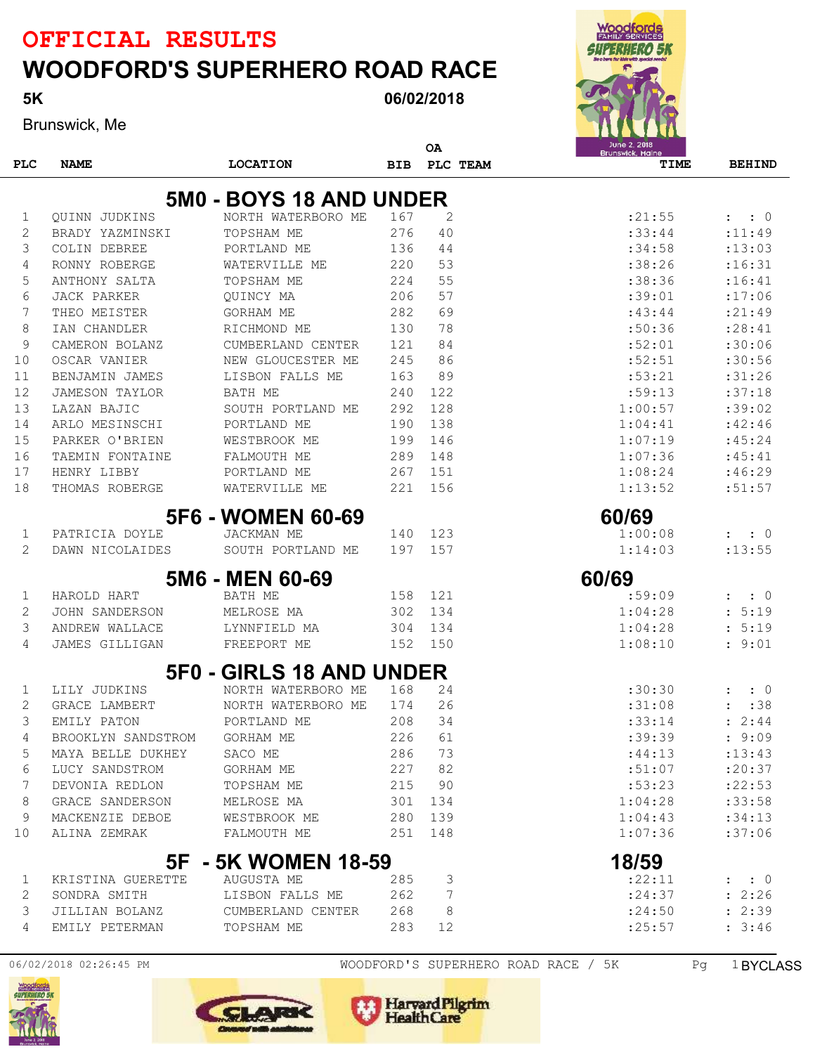06/02/2018

Brunswick, Me

5K

| <b>EXHILY SERVICES</b>                 |  |
|----------------------------------------|--|
| 3423387                                |  |
| Be a bero for klós with special needs! |  |
| $\ddot{\mathbf{Q}}$                    |  |
|                                        |  |
|                                        |  |
| June 2, 2018<br>Brunswick, Maine       |  |
|                                        |  |

**Manufacture** 

|            |                         |                                  |            | ΟA             | June 2, 2018<br>Brunswick, Maine |                              |  |  |  |
|------------|-------------------------|----------------------------------|------------|----------------|----------------------------------|------------------------------|--|--|--|
| <b>PLC</b> | <b>NAME</b>             | <b>LOCATION</b>                  | <b>BIB</b> | PLC TEAM       | TIME                             | <b>BEHIND</b>                |  |  |  |
|            | 5M0 - BOYS 18 AND UNDER |                                  |            |                |                                  |                              |  |  |  |
| 1          | <b>OUINN JUDKINS</b>    | NORTH WATERBORO ME               | 167        | $\overline{2}$ | : 21:55                          | $\colon 0$<br>$\mathbf{L}$   |  |  |  |
| 2          | BRADY YAZMINSKI         | TOPSHAM ME                       | 276        | 40             | :33:44                           | : 11:49                      |  |  |  |
| 3          | COLIN DEBREE            | PORTLAND ME                      | 136        | 44             | :34:58                           | : 13:03                      |  |  |  |
| 4          | RONNY ROBERGE           | WATERVILLE ME                    | 220        | 53             | :38:26                           | : 16:31                      |  |  |  |
| 5          | ANTHONY SALTA           | TOPSHAM ME                       | 224        | 55             | :38:36                           | : 16:41                      |  |  |  |
| 6          | JACK PARKER             | OUINCY MA                        | 206        | 57             | :39:01                           | :17:06                       |  |  |  |
| 7          | THEO MEISTER            | <b>GORHAM ME</b>                 | 282        | 69             | :43:44                           | : 21:49                      |  |  |  |
| 8          | IAN CHANDLER            | RICHMOND ME                      | 130        | 78             | :50:36                           | : 28:41                      |  |  |  |
| 9          | CAMERON BOLANZ          | CUMBERLAND CENTER                | 121        | 84             | :52:01                           | :30:06                       |  |  |  |
| 10         | OSCAR VANIER            | NEW GLOUCESTER ME                | 245        | 86             | :52:51                           | :30:56                       |  |  |  |
| 11         | BENJAMIN JAMES          | LISBON FALLS ME                  | 163        | 89             | :53:21                           | :31:26                       |  |  |  |
| 12         | <b>JAMESON TAYLOR</b>   | <b>BATH ME</b>                   | 240        | 122            | :59:13                           | :37:18                       |  |  |  |
| 13         | LAZAN BAJIC             | SOUTH PORTLAND ME                | 292        | 128            | 1:00:57                          | :39:02                       |  |  |  |
| 14         | ARLO MESINSCHI          | PORTLAND ME                      | 190        | 138            | 1:04:41                          | :42:46                       |  |  |  |
| 15         | PARKER O'BRIEN          | WESTBROOK ME                     | 199        | 146            | 1:07:19                          | :45:24                       |  |  |  |
| 16         | TAEMIN FONTAINE         | FALMOUTH ME                      | 289        | 148            | 1:07:36                          | :45:41                       |  |  |  |
| 17         | HENRY LIBBY             | PORTLAND ME                      | 267        | 151            | 1:08:24                          | :46:29                       |  |  |  |
| 18         | THOMAS ROBERGE          | WATERVILLE ME                    | 221        | 156            | 1:13:52                          | :51:57                       |  |  |  |
|            |                         | <b>5F6 - WOMEN 60-69</b>         |            |                | 60/69                            |                              |  |  |  |
| 1          | PATRICIA DOYLE          | <b>JACKMAN ME</b>                | 140        | 123            | 1:00:08                          | $\colon 0$<br>$\ddot{\cdot}$ |  |  |  |
| 2          | DAWN NICOLAIDES         | SOUTH PORTLAND ME                | 197        | 157            | 1:14:03                          | : 13: 55                     |  |  |  |
|            |                         | 5M6 - MEN 60-69                  |            |                | 60/69                            |                              |  |  |  |
| 1          | HAROLD HART             | BATH ME                          | 158        | 121            | :59:09                           | $\colon 0$                   |  |  |  |
| 2          | <b>JOHN SANDERSON</b>   | MELROSE MA                       | 302        | 134            | 1:04:28                          | 5:19                         |  |  |  |
| 3          | ANDREW WALLACE          | LYNNFIELD MA                     | 304        | 134            | 1:04:28                          | 5:19                         |  |  |  |
| 4          | JAMES GILLIGAN          | FREEPORT ME                      | 152        | 150            | 1:08:10                          | 9:01                         |  |  |  |
|            |                         | 5F0 - GIRLS 18 AND UNDER         |            |                |                                  |                              |  |  |  |
| 1          | LILY JUDKINS            | NORTH WATERBORO ME               | 168        | 24             | :30:30                           | $\colon 0$                   |  |  |  |
| 2          | GRACE LAMBERT           | NORTH WATERBORO ME               | 174        | 26             | :31:08                           | :38                          |  |  |  |
| 3          | EMILY PATON             | PORTLAND ME                      | 208        | 34             | : 33:14                          | 2:44                         |  |  |  |
| 4          | BROOKLYN SANDSTROM      | GORHAM ME                        | 226        | 61             | :39:39                           | : 9:09                       |  |  |  |
| 5          | MAYA BELLE DUKHEY       | SACO ME                          | 286        | 73             | :44:13                           | : 13: 43                     |  |  |  |
| 6          | LUCY SANDSTROM          | GORHAM ME                        | 227        | 82             | :51:07                           | : 20:37                      |  |  |  |
| 7          | DEVONIA REDLON          | TOPSHAM ME                       | 215        | 90             | :53:23                           | : 22:53                      |  |  |  |
| 8          | GRACE SANDERSON         | MELROSE MA                       |            | 301 134        | 1:04:28                          | :33:58                       |  |  |  |
| 9          | MACKENZIE DEBOE         | WESTBROOK ME                     |            | 280 139        | 1:04:43                          | :34:13                       |  |  |  |
| 10         | ALINA ZEMRAK            | FALMOUTH ME                      |            | 251 148        | 1:07:36                          | :37:06                       |  |  |  |
|            |                         | 5F - 5K WOMEN 18-59              |            |                | 18/59                            |                              |  |  |  |
| $\perp$    | KRISTINA GUERETTE       | AUGUSTA ME                       | 285        | 3              | :22:11                           | $\colon$ $\colon$ 0          |  |  |  |
| 2          | SONDRA SMITH            | LISBON FALLS ME                  | 262        | 7              | : 24:37                          | : 2:26                       |  |  |  |
| 3          |                         | JILLIAN BOLANZ CUMBERLAND CENTER | 268        | 8              | : 24:50                          | : 2:39                       |  |  |  |
| 4          | EMILY PETERMAN          | TOPSHAM ME                       | 283        | 12             | : 25:57                          | : 3:46                       |  |  |  |





Harvard Pilgrim

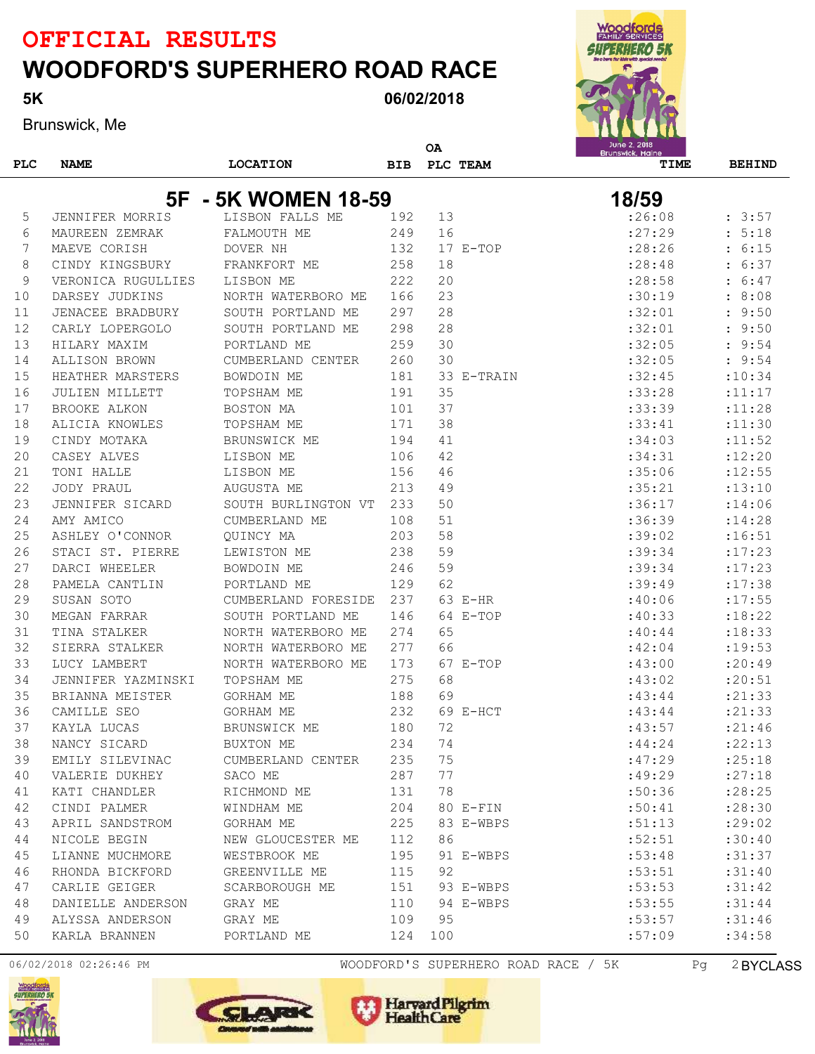06/02/2018

Brunswick, Me

5K

|  | ۰<br>ì<br>٥ |
|--|-------------|
|  |             |
|  |             |

|            |                     |                     |            | <b>OA</b> |            | June 2, 2018<br>Brunswick, Maine |               |
|------------|---------------------|---------------------|------------|-----------|------------|----------------------------------|---------------|
| <b>PLC</b> | <b>NAME</b>         | <b>LOCATION</b>     | <b>BIB</b> |           | PLC TEAM   | TIME                             | <b>BEHIND</b> |
|            |                     |                     |            |           |            |                                  |               |
|            | 5F                  | - 5K WOMEN 18-59    |            |           |            | 18/59                            |               |
| 5          | JENNIFER MORRIS     | LISBON FALLS ME     | 192        | 13        |            | :26:08                           | : 3:57        |
| 6          | MAUREEN ZEMRAK      | FALMOUTH ME         | 249        | 16        |            | : 27:29                          | 5:18          |
| 7          | MAEVE CORISH        | DOVER NH            | 132        |           | $17 E-TOP$ | : 28:26                          | 6:15          |
| 8          | CINDY KINGSBURY     | FRANKFORT ME        | 258        | 18        |            | : 28:48                          | 6:37          |
| 9          | VERONICA RUGULLIES  | LISBON ME           | 222        | 20        |            | : 28:58                          | 6:47          |
| 10         | DARSEY JUDKINS      | NORTH WATERBORO ME  | 166        | 23        |            | :30:19                           | 8:08          |
| 11         | JENACEE BRADBURY    | SOUTH PORTLAND ME   | 297        | 28        |            | :32:01                           | 9:50          |
| 12         | CARLY LOPERGOLO     | SOUTH PORTLAND ME   | 298        | 28        |            | :32:01                           | 9:50          |
| 13         | HILARY MAXIM        | PORTLAND ME         | 259        | 30        |            | :32:05                           | 9:54          |
| 14         | ALLISON BROWN       | CUMBERLAND CENTER   | 260        | 30        |            | :32:05                           | : 9:54        |
| 15         | HEATHER MARSTERS    | BOWDOIN ME          | 181        |           | 33 E-TRAIN | :32:45                           | :10:34        |
| 16         | JULIEN MILLETT      | TOPSHAM ME          | 191        | 35        |            | :33:28                           | : 11: 17      |
| 17         | <b>BROOKE ALKON</b> | BOSTON MA           | 101        | 37        |            | :33:39                           | : 11:28       |
| 18         | ALICIA KNOWLES      | TOPSHAM ME          | 171        | 38        |            | :33:41                           | : 11:30       |
| 19         | CINDY MOTAKA        | BRUNSWICK ME        | 194        | 41        |            | :34:03                           | : 11:52       |
| 20         | CASEY ALVES         | LISBON ME           | 106        | 42        |            | :34:31                           | :12:20        |
| 21         | TONI HALLE          | LISBON ME           | 156        | 46        |            | :35:06                           | :12:55        |
| 22         | JODY PRAUL          | AUGUSTA ME          | 213        | 49        |            | :35:21                           | :13:10        |
| 23         | JENNIFER SICARD     | SOUTH BURLINGTON VT | 233        | 50        |            | :36:17                           | : 14:06       |
| 24         | AMY AMICO           | CUMBERLAND ME       | 108        | 51        |            | :36:39                           | : 14:28       |
| 25         | ASHLEY O'CONNOR     | OUINCY MA           | 203        | 58        |            | :39:02                           | :16:51        |
| 26         | STACI ST. PIERRE    | LEWISTON ME         | 238        | 59        |            | :39:34                           | :17:23        |
| 27         | DARCI WHEELER       | BOWDOIN ME          | 246        | 59        |            | :39:34                           | :17:23        |
| 28         | PAMELA CANTLIN      | PORTLAND ME         | 129        | 62        |            | :39:49                           | :17:38        |
| 29         | SUSAN SOTO          | CUMBERLAND FORESIDE | 237        |           | 63 E-HR    | :40:06                           | :17:55        |
| 30         | MEGAN FARRAR        | SOUTH PORTLAND ME   | 146        |           | 64 E-TOP   | :40:33                           | : 18:22       |
| 31         | TINA STALKER        | NORTH WATERBORO ME  | 274        | 65        |            | :40:44                           | : 18:33       |
| 32         | SIERRA STALKER      | NORTH WATERBORO ME  | 277        | 66        |            | :42:04                           | :19:53        |
| 33         | LUCY LAMBERT        | NORTH WATERBORO ME  | 173        |           | 67 E-TOP   | :43:00                           | : 20:49       |
| 34         | JENNIFER YAZMINSKI  | TOPSHAM ME          | 275        | 68        |            | :43:02                           | : 20:51       |
| 35         | BRIANNA MEISTER     | GORHAM ME           | 188        | 69        |            | :43:44                           | : 21: 33      |
| 36         | CAMILLE SEO         | GORHAM ME           | 232        |           | 69 E-HCT   | :43:44                           | : 21: 33      |
| 37         | KAYLA LUCAS         | BRUNSWICK ME        | 180        | 72        |            | :43:57                           | : 21:46       |
| 38         | NANCY SICARD        | BUXTON ME           | 234        | 74        |            | : 44:24                          | : 22: 13      |
| 39         | EMILY SILEVINAC     | CUMBERLAND CENTER   | 235        | 75        |            | :47:29                           | : 25:18       |
| 40         | VALERIE DUKHEY      | SACO ME             | 287        | 77        |            | :49:29                           | : 27:18       |
| 41         | KATI CHANDLER       | RICHMOND ME         | 131        | 78        |            | :50:36                           | : 28:25       |
| 42         | CINDI PALMER        | WINDHAM ME          | 204        |           | 80 E-FIN   | :50:41                           | :28:30        |
| 43         | APRIL SANDSTROM     | GORHAM ME           | 225        |           | 83 E-WBPS  | :51:13                           | : 29:02       |
| 44         | NICOLE BEGIN        | NEW GLOUCESTER ME   | 112        | 86        |            | :52:51                           | :30:40        |
| 45         | LIANNE MUCHMORE     | WESTBROOK ME        | 195        |           | 91 E-WBPS  | :53:48                           | :31:37        |
| 46         | RHONDA BICKFORD     | GREENVILLE ME       | 115        | 92        |            | :53:51                           | :31:40        |
| 47         | CARLIE GEIGER       | SCARBOROUGH ME      | 151        |           | 93 E-WBPS  | :53:53                           | :31:42        |
| 48         | DANIELLE ANDERSON   | GRAY ME             | 110        |           | 94 E-WBPS  | :53:55                           | :31:44        |
| 49         | ALYSSA ANDERSON     | GRAY ME             | 109        | 95        |            | :53:57                           | :31:46        |
| 50         | KARLA BRANNEN       | PORTLAND ME         | 124        | 100       |            | :57:09                           | :34:58        |

06/02/2018 02:26:46 PM WOODFORD'S SUPERHERO ROAD RACE / 5K Pg 2BYCLASS





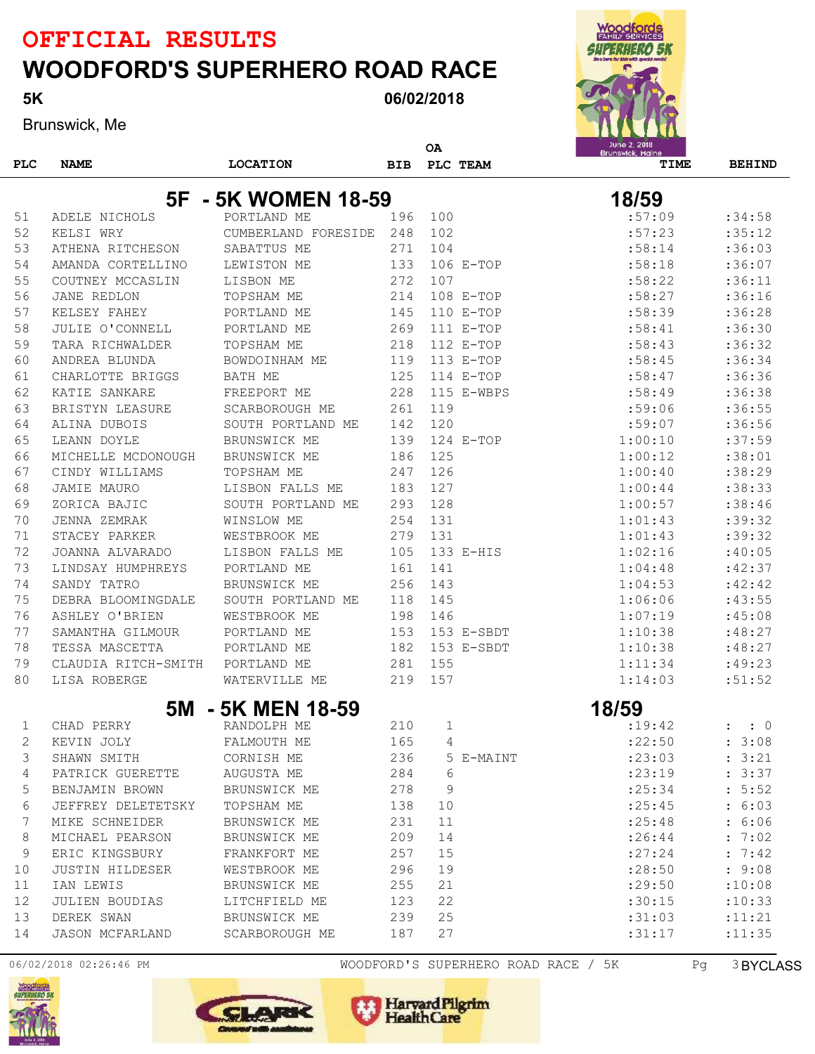06/02/2018

Brunswick, Me

5K

| <b>WOODFORDS</b><br>JEK<br>اہے<br>2438443<br>Be a bero for klór with special needs! |
|-------------------------------------------------------------------------------------|
|                                                                                     |
| June 2, 2018<br><b>Brunswick, Maine</b>                                             |

|            |                                      |                                 |            | ΟA  |             | June 2, 2018<br>Brunswick, Maine |                  |
|------------|--------------------------------------|---------------------------------|------------|-----|-------------|----------------------------------|------------------|
| <b>PLC</b> | <b>NAME</b>                          | <b>LOCATION</b>                 | <b>BIB</b> |     | PLC TEAM    | TIME                             | <b>BEHIND</b>    |
|            |                                      |                                 |            |     |             |                                  |                  |
|            |                                      | 5F - 5K WOMEN 18-59             |            |     |             | 18/59                            |                  |
| 51         | ADELE NICHOLS                        | PORTLAND ME                     | 196        | 100 |             | :57:09                           | :34:58           |
| 52         | KELSI WRY                            | CUMBERLAND FORESIDE             | 248        | 102 |             | :57:23                           | :35:12           |
| 53         | ATHENA RITCHESON                     | SABATTUS ME                     | 271        | 104 |             | :58:14                           | :36:03           |
| 54         | AMANDA CORTELLINO                    | LEWISTON ME                     | 133        |     | 106 E-TOP   | :58:18                           | :36:07<br>:36:11 |
| 55         | COUTNEY MCCASLIN                     | LISBON ME                       | 272        | 107 |             | :58:22                           |                  |
| 56         | JANE REDLON                          | TOPSHAM ME                      | 214        |     | 108 E-TOP   | :58:27                           | :36:16           |
| 57         | KELSEY FAHEY                         | PORTLAND ME                     | 145        |     | $110$ E-TOP | :58:39                           | :36:28           |
| 58         | JULIE O'CONNELL                      | PORTLAND ME                     | 269        |     | $111$ E-TOP | :58:41                           | :36:30           |
| 59         | TARA RICHWALDER                      | TOPSHAM ME                      | 218        |     | $112 E-TOP$ | :58:43                           | :36:32           |
| 60         | ANDREA BLUNDA                        | BOWDOINHAM ME                   | 119        |     | 113 E-TOP   | :58:45                           | :36:34           |
| 61         | CHARLOTTE BRIGGS                     | BATH ME                         | 125        |     | $114$ E-TOP | :58:47                           | :36:36           |
| 62         | KATIE SANKARE                        | FREEPORT ME                     | 228        | 119 | 115 E-WBPS  | :58:49                           | :36:38           |
| 63         | BRISTYN LEASURE                      | <b>SCARBOROUGH ME</b>           | 261        |     |             | :59:06                           | :36:55           |
| 64         | ALINA DUBOIS                         | SOUTH PORTLAND ME               | 142        | 120 |             | :59:07                           | :36:56           |
| 65         | LEANN DOYLE                          | BRUNSWICK ME                    | 139<br>186 | 125 | $124$ E-TOP | 1:00:10<br>1:00:12               | :37:59<br>:38:01 |
| 66         | MICHELLE MCDONOUGH<br>CINDY WILLIAMS | BRUNSWICK ME                    | 247        | 126 |             | 1:00:40                          | :38:29           |
| 67         |                                      | TOPSHAM ME                      | 183        | 127 |             | 1:00:44                          | :38:33           |
| 68<br>69   | JAMIE MAURO<br>ZORICA BAJIC          | LISBON FALLS ME                 | 293        | 128 |             | 1:00:57                          | :38:46           |
| 70         |                                      | SOUTH PORTLAND ME<br>WINSLOW ME | 254        | 131 |             |                                  | :39:32           |
| 71         | JENNA ZEMRAK<br>STACEY PARKER        | WESTBROOK ME                    | 279        | 131 |             | 1:01:43<br>1:01:43               | :39:32           |
| 72         | JOANNA ALVARADO                      | LISBON FALLS ME                 | 105        |     | 133 E-HIS   | 1:02:16                          | :40:05           |
| 73         |                                      | PORTLAND ME                     | 161        | 141 |             |                                  | : 42:37          |
| 74         | LINDSAY HUMPHREYS                    |                                 | 256        | 143 |             | 1:04:48                          |                  |
|            | SANDY TATRO                          | BRUNSWICK ME                    |            |     |             | 1:04:53                          | :42:42           |
| 75         | DEBRA BLOOMINGDALE                   | SOUTH PORTLAND ME               | 118        | 145 |             | 1:06:06                          | :43:55           |
| 76         | ASHLEY O'BRIEN                       | WESTBROOK ME                    | 198        | 146 |             | 1:07:19                          | :45:08           |
| 77         | SAMANTHA GILMOUR                     | PORTLAND ME                     | 153        |     | 153 E-SBDT  | 1:10:38                          | :48:27           |
| 78         | TESSA MASCETTA                       | PORTLAND ME                     | 182        |     | 153 E-SBDT  | 1:10:38                          | :48:27           |
| 79         | CLAUDIA RITCH-SMITH                  | PORTLAND ME                     | 281        | 155 |             | 1:11:34                          | :49:23           |
| 80         | LISA ROBERGE                         | WATERVILLE ME                   | 219        | 157 |             | 1:14:03                          | :51:52           |
|            | 5M                                   | <b>5K MEN 18-59</b>             |            |     |             | 18/59                            |                  |
| 1          | CHAD PERRY                           | RANDOLPH ME                     | 210        | 1   |             | :19:42                           | $\colon 0$       |
| 2          | KEVIN JOLY                           | FALMOUTH ME                     | 165        | 4   |             | :22:50                           | : 3:08           |
| 3          | SHAWN SMITH                          | CORNISH ME                      | 236        |     | 5 E-MAINT   | : 23:03                          | : 3:21           |
| 4          | PATRICK GUERETTE                     | AUGUSTA ME                      | 284        | 6   |             | : 23:19                          | : 3:37           |
| 5          | BENJAMIN BROWN                       | BRUNSWICK ME                    | 278        | 9   |             | : 25:34                          | : 5:52           |
| 6          | JEFFREY DELETETSKY                   | TOPSHAM ME                      | 138        | 10  |             | : 25:45                          | : 6:03           |
| 7          | MIKE SCHNEIDER                       | BRUNSWICK ME                    | 231        | 11  |             | : 25:48                          | : 6:06           |
| 8          | MICHAEL PEARSON                      | BRUNSWICK ME                    | 209        | 14  |             | : 26:44                          | : 7:02           |
| 9          | ERIC KINGSBURY                       | FRANKFORT ME                    | 257        | 15  |             | : 27:24                          | : 7:42           |
| 10         | <b>JUSTIN HILDESER</b>               | WESTBROOK ME                    | 296        | 19  |             | : 28:50                          | : 9:08           |
| 11         | IAN LEWIS                            | BRUNSWICK ME                    | 255        | 21  |             | : 29:50                          | :10:08           |
| 12         | JULIEN BOUDIAS                       | LITCHFIELD ME                   | 123        | 22  |             | :30:15                           | :10:33           |
| 13         | DEREK SWAN                           | BRUNSWICK ME                    | 239        | 25  |             | :31:03                           | : 11:21          |
| 14         | <b>JASON MCFARLAND</b>               | SCARBOROUGH ME                  | 187        | 27  |             | :31:17                           | : 11:35          |



06/02/2018 02:26:46 PM WOODFORD'S SUPERHERO ROAD RACE / 5K Pg 3BYCLASS

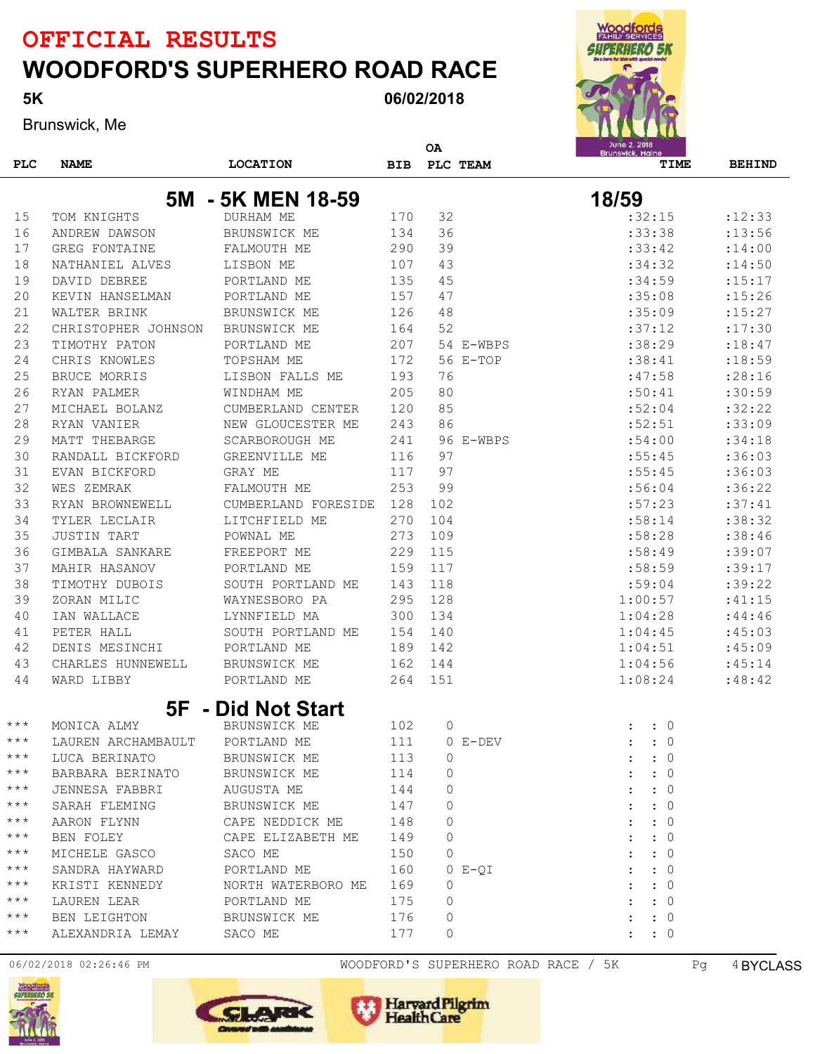06/02/2018

Brunswick, Me

5K

| <b>Woodfords</b><br><b>FAMILY SERVICES</b>             |
|--------------------------------------------------------|
| GUZERNERO 5R<br>Be a bero for klár with special needs! |
|                                                        |
|                                                        |
|                                                        |
| June 2, 2018<br>Brunswick, Maine                       |
|                                                        |

|                   |                     |                     |     | ΟA  |              | June 2, 2018<br>Brunswick, Maine |               |  |  |
|-------------------|---------------------|---------------------|-----|-----|--------------|----------------------------------|---------------|--|--|
| PLC               | <b>NAME</b>         | <b>LOCATION</b>     | BIB |     | PLC TEAM     | TIME                             | <b>BEHIND</b> |  |  |
|                   |                     |                     |     |     |              |                                  |               |  |  |
|                   | 5M                  | - 5K MEN 18-59      |     |     |              | 18/59                            |               |  |  |
| 15                | TOM KNIGHTS         | DURHAM ME           | 170 | 32  |              | :32:15                           | : 12: 33      |  |  |
| 16                | ANDREW DAWSON       | BRUNSWICK ME        | 134 | 36  |              | :33:38                           | : 13:56       |  |  |
| 17                | GREG FONTAINE       | FALMOUTH ME         | 290 | 39  |              | :33:42                           | : 14:00       |  |  |
| 18                | NATHANIEL ALVES     | LISBON ME           | 107 | 43  |              | :34:32                           | : 14:50       |  |  |
| 19                | DAVID DEBREE        | PORTLAND ME         | 135 | 45  |              | :34:59                           | : 15: 17      |  |  |
| 20                | KEVIN HANSELMAN     | PORTLAND ME         | 157 | 47  |              | :35:08                           | : 15:26       |  |  |
| 21                | WALTER BRINK        | BRUNSWICK ME        | 126 | 48  |              | :35:09                           | : 15: 27      |  |  |
| 22                | CHRISTOPHER JOHNSON | BRUNSWICK ME        | 164 | 52  |              | :37:12                           | :17:30        |  |  |
| 23                | TIMOTHY PATON       | PORTLAND ME         | 207 |     | 54 E-WBPS    | :38:29                           | : 18: 47      |  |  |
| 24                | CHRIS KNOWLES       | TOPSHAM ME          | 172 |     | 56 E-TOP     | :38:41                           | :18:59        |  |  |
| 25                | <b>BRUCE MORRIS</b> | LISBON FALLS ME     | 193 | 76  |              | :47:58                           | : 28:16       |  |  |
| 26                | RYAN PALMER         | WINDHAM ME          | 205 | 80  |              | :50:41                           | :30:59        |  |  |
| 27                | MICHAEL BOLANZ      | CUMBERLAND CENTER   | 120 | 85  |              | :52:04                           | :32:22        |  |  |
| 28                | RYAN VANIER         | NEW GLOUCESTER ME   | 243 | 86  |              | :52:51                           | :33:09        |  |  |
| 29                | MATT THEBARGE       | SCARBOROUGH ME      | 241 |     | 96 E-WBPS    | :54:00                           | :34:18        |  |  |
| 30                | RANDALL BICKFORD    | GREENVILLE ME       | 116 | 97  |              | :55:45                           | :36:03        |  |  |
| 31                | EVAN BICKFORD       | GRAY ME             | 117 | 97  |              | :55:45                           | :36:03        |  |  |
| 32                | WES ZEMRAK          | FALMOUTH ME         | 253 | 99  |              | :56:04                           | :36:22        |  |  |
| 33                | RYAN BROWNEWELL     | CUMBERLAND FORESIDE | 128 | 102 |              | :57:23                           | :37:41        |  |  |
| 34                | TYLER LECLAIR       | LITCHFIELD ME       | 270 | 104 |              | :58:14                           | :38:32        |  |  |
| 35                | <b>JUSTIN TART</b>  | POWNAL ME           | 273 | 109 |              | :58:28                           | :38:46        |  |  |
| 36                | GIMBALA SANKARE     | FREEPORT ME         | 229 | 115 |              | :58:49                           | :39:07        |  |  |
| 37                | MAHIR HASANOV       | PORTLAND ME         | 159 | 117 |              | :58:59                           | :39:17        |  |  |
| 38                | TIMOTHY DUBOIS      | SOUTH PORTLAND ME   | 143 | 118 |              | :59:04                           | :39:22        |  |  |
| 39                | ZORAN MILIC         | WAYNESBORO PA       | 295 | 128 |              | 1:00:57                          | :41:15        |  |  |
| 40                | IAN WALLACE         | LYNNFIELD MA        | 300 | 134 |              | 1:04:28                          | :44:46        |  |  |
| 41                | PETER HALL          | SOUTH PORTLAND ME   | 154 | 140 |              | 1:04:45                          | :45:03        |  |  |
| 42                | DENIS MESINCHI      | PORTLAND ME         | 189 | 142 |              | 1:04:51                          | :45:09        |  |  |
| 43                | CHARLES HUNNEWELL   | BRUNSWICK ME        | 162 | 144 |              | 1:04:56                          | :45:14        |  |  |
| 44                | WARD LIBBY          | PORTLAND ME         | 264 | 151 |              | 1:08:24                          | :48:42        |  |  |
|                   |                     | 5F - Did Not Start  |     |     |              |                                  |               |  |  |
| $***$             | MONICA ALMY         | BRUNSWICK ME        | 102 | 0   |              | $\colon 0$                       |               |  |  |
| $***$             | LAUREN ARCHAMBAULT  | PORTLAND ME         | 111 |     | $0$ $E-DEFV$ | $\colon 0$                       |               |  |  |
| $\star\star\star$ | LUCA BERINATO       | BRUNSWICK ME        | 113 | 0   |              | $\colon 0$                       |               |  |  |
| $\star\star\star$ | BARBARA BERINATO    | BRUNSWICK ME        | 114 | 0   |              | $\colon 0$                       |               |  |  |
| $\star\star\star$ | JENNESA FABBRI      | AUGUSTA ME          | 144 | 0   |              | $\colon 0$                       |               |  |  |
| $\star\star\star$ | SARAH FLEMING       | BRUNSWICK ME        | 147 | 0   |              | $\colon 0$                       |               |  |  |
| $\star\star\star$ | AARON FLYNN         | CAPE NEDDICK ME     | 148 | 0   |              | $\colon 0$                       |               |  |  |
| $\star\star\star$ | BEN FOLEY           | CAPE ELIZABETH ME   | 149 | 0   |              | $\colon 0$                       |               |  |  |
| $\star\star\star$ | MICHELE GASCO       | SACO ME             | 150 | 0   |              | $\colon 0$                       |               |  |  |
| $\star\star\star$ | SANDRA HAYWARD      | PORTLAND ME         | 160 |     | $0 E-0I$     | $\colon 0$                       |               |  |  |
| $\star\star\star$ | KRISTI KENNEDY      | NORTH WATERBORO ME  | 169 | 0   |              | $\colon 0$                       |               |  |  |
| $\star\star\star$ | LAUREN LEAR         | PORTLAND ME         | 175 | 0   |              | $\colon 0$                       |               |  |  |
| $\star\star\star$ | BEN LEIGHTON        | BRUNSWICK ME        | 176 | 0   |              | $\colon$ $\colon$ 0              |               |  |  |
| $***$             | ALEXANDRIA LEMAY    | SACO ME             | 177 | 0   |              | $\colon$ $\colon$ 0              |               |  |  |
|                   |                     |                     |     |     |              |                                  |               |  |  |





06/02/2018 02:26:46 PM WOODFORD'S SUPERHERO ROAD RACE / 5K Pg 4BYCLASS

Harvard Pilgrim